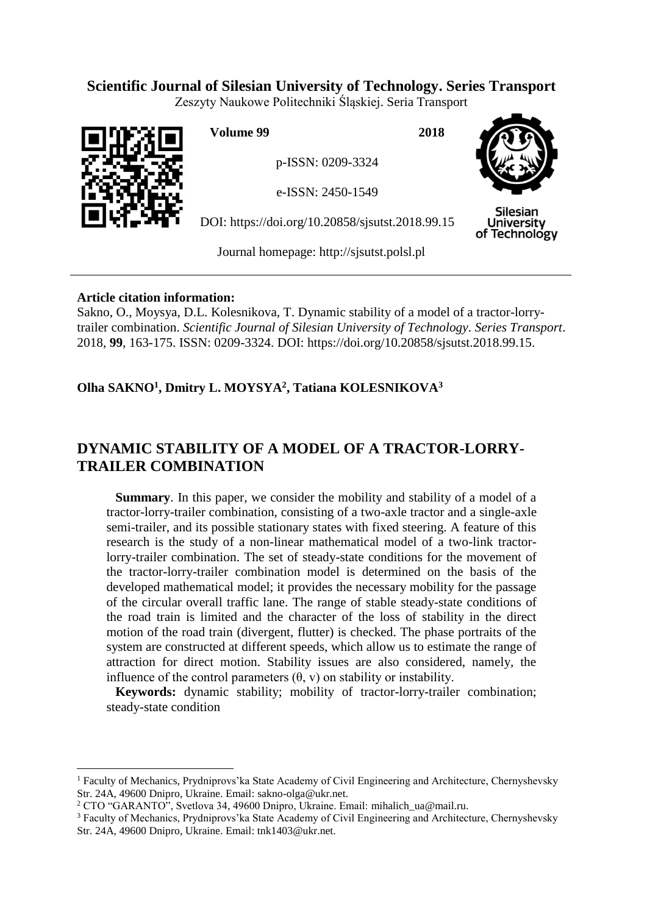## **Scientific Journal of Silesian University of Technology. Series Transport**

Zeszyty Naukowe Politechniki Śląskiej. Seria Transport



 $\overline{a}$ 

**Volume 99 2018**

p-ISSN: 0209-3324

e-ISSN: 2450-1549

DOI: https://doi.org/10.20858/sjsutst.2018.99.15



Silesian **University** of Technology

Journal homepage: [http://sjsutst.polsl.pl](http://sjsutst.polsl.pl/)

## **Article citation information:**

Sakno, O., Moysya, D.L. Kolesnikova, T. Dynamic stability of a model of a tractor-lorrytrailer combination. *Scientific Journal of Silesian University of Technology. Series Transport*. 2018, **99**, 163-175. ISSN: 0209-3324. DOI: https://doi.org/10.20858/sjsutst.2018.99.15.

**Olha SAKNO<sup>1</sup> , Dmitry L. MOYSYA<sup>2</sup> , Tatiana KOLESNIKOVA<sup>3</sup>**

# **DYNAMIC STABILITY OF A MODEL OF A TRACTOR-LORRY-TRAILER COMBINATION**

**Summary**. In this paper, we consider the mobility and stability of a model of a tractor-lorry-trailer combination, consisting of a two-axle tractor and a single-axle semi-trailer, and its possible stationary states with fixed steering. A feature of this research is the study of a non-linear mathematical model of a two-link tractorlorry-trailer combination. The set of steady-state conditions for the movement of the tractor-lorry-trailer combination model is determined on the basis of the developed mathematical model; it provides the necessary mobility for the passage of the circular overall traffic lane. The range of stable steady-state conditions of the road train is limited and the character of the loss of stability in the direct motion of the road train (divergent, flutter) is checked. The phase portraits of the system are constructed at different speeds, which allow us to estimate the range of attraction for direct motion. Stability issues are also considered, namely, the influence of the control parameters  $(\theta, v)$  on stability or instability.

**Keywords:** dynamic stability; mobility of tractor-lorry-trailer combination; steady-state condition

<sup>&</sup>lt;sup>1</sup> Faculty of Mechanics, Prydniprovs'ka State Academy of Civil Engineering and Architecture, Chernyshevsky Str. 24A, 49600 Dnipro, Ukraine. Email: [sakno-olga@ukr.net.](mailto:sakno-olga@ukr.net)

<sup>2</sup> CTO "GARANTO", Svetlova 34, 49600 Dnipro, Ukraine. Email: [mihalich\\_ua@mail.ru.](https://mail.ukr.net/classic)

<sup>&</sup>lt;sup>3</sup> Faculty of Mechanics, Prydniprovs'ka State Academy of Civil Engineering and Architecture, Chernyshevsky Str. 24A, 49600 Dnipro, Ukraine. Email: tnk1403@ukr.net.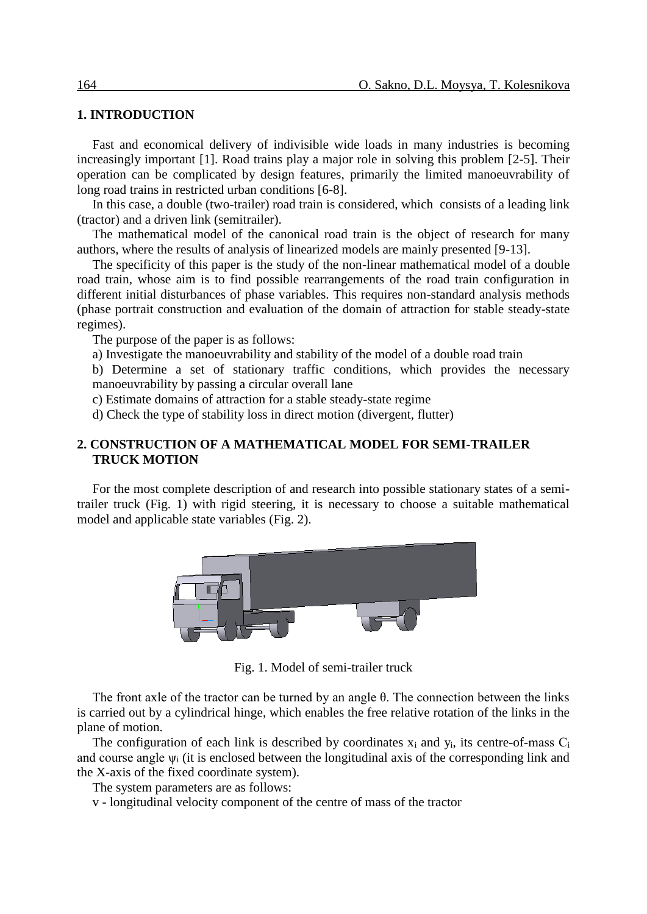## **1. INTRODUCTION**

Fast and economical delivery of indivisible wide loads in many industries is becoming increasingly important [1]. Road trains play a major role in solving this problem [2-5]. Their operation can be complicated by design features, primarily the limited manoeuvrability of long road trains in restricted urban conditions [6-8].

In this case, a double (two-trailer) road train is considered, which consists of a leading link (tractor) and a driven link (semitrailer).

The mathematical model of the canonical road train is the object of research for many authors, where the results of analysis of linearized models are mainly presented [9-13].

The specificity of this paper is the study of the non-linear mathematical model of a double road train, whose aim is to find possible rearrangements of the road train configuration in different initial disturbances of phase variables. This requires non-standard analysis methods (phase portrait construction and evaluation of the domain of attraction for stable steady-state regimes).

The purpose of the paper is as follows:

a) Investigate the manoeuvrability and stability of the model of a double road train

b) Determine a set of stationary traffic conditions, which provides the necessary manoeuvrability by passing a circular overall lane

c) Estimate domains of attraction for a stable steady-state regime

d) Check the type of stability loss in direct motion (divergent, flutter)

## **2. CONSTRUCTION OF A MATHEMATICAL MODEL FOR SEMI-TRAILER TRUCK MOTION**

For the most complete description of and research into possible stationary states of a semitrailer truck (Fig. 1) with rigid steering, it is necessary to choose a suitable mathematical model and applicable state variables (Fig. 2).



Fig. 1. Model of semi-trailer truck

The front axle of the tractor can be turned by an angle θ. The connection between the links is carried out by a cylindrical hinge, which enables the free relative rotation of the links in the plane of motion.

The configuration of each link is described by coordinates  $x_i$  and  $y_i$ , its centre-of-mass  $C_i$ and course angle  $\psi_i$  (it is enclosed between the longitudinal axis of the corresponding link and the X-axis of the fixed coordinate system).

The system parameters are as follows:

v - longitudinal velocity component of the centre of mass of the tractor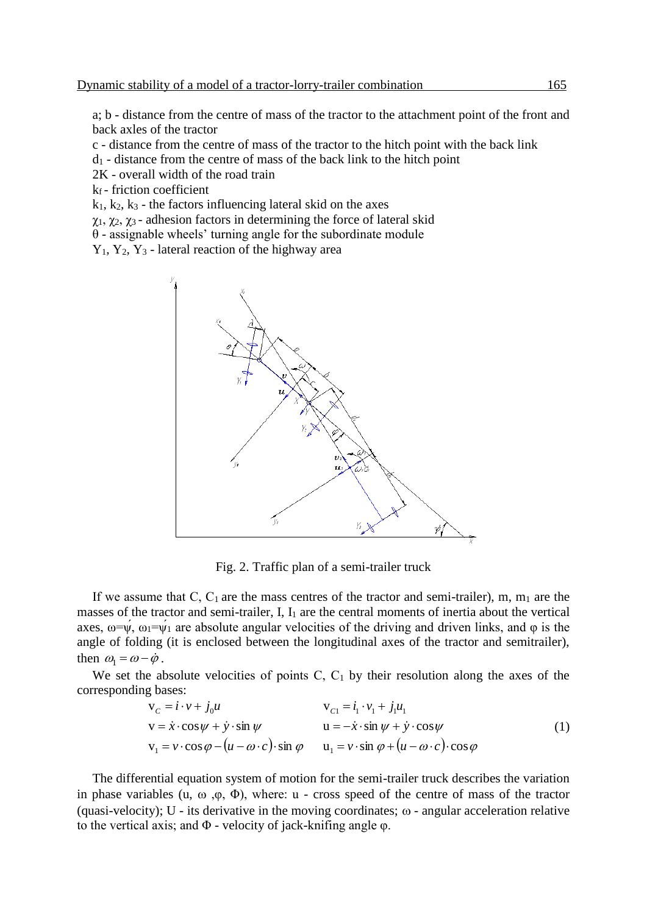a; b - distance from the centre of mass of the tractor to the attachment point of the front and back axles of the tractor

c - distance from the centre of mass of the tractor to the hitch point with the back link

- $d_1$  distance from the centre of mass of the back link to the hitch point
- 2K overall width of the road train
- $k_f$  friction coefficient

 $k_1, k_2, k_3$  - the factors influencing lateral skid on the axes

 $\chi_1, \chi_2, \chi_3$  - adhesion factors in determining the force of lateral skid

 $\theta$  - assignable wheels' turning angle for the subordinate module

 $Y_1, Y_2, Y_3$  - lateral reaction of the highway area



Fig. 2. Traffic plan of a semi-trailer truck

If we assume that C,  $C_1$  are the mass centres of the tractor and semi-trailer), m, m<sub>1</sub> are the masses of the tractor and semi-trailer,  $I$ ,  $I_1$  are the central moments of inertia about the vertical axes,  $\omega = \psi$ ,  $\omega_1 = \psi_1$  are absolute angular velocities of the driving and driven links, and  $\varphi$  is the angle of folding (it is enclosed between the longitudinal axes of the tractor and semitrailer), then  $\omega_1 = \omega - \dot{\varphi}$ .

We set the absolute velocities of points C,  $C_1$  by their resolution along the axes of the corresponding bases:

$$
v_C = i \cdot v + j_0 u
$$
  
\n
$$
v = \dot{x} \cdot \cos \psi + \dot{y} \cdot \sin \psi
$$
  
\n
$$
v_1 = v \cdot \cos \phi - (u - \omega \cdot c) \cdot \sin \phi
$$
  
\n
$$
v_2 = i_1 \cdot v_1 + j_1 u_1
$$
  
\n
$$
u = -\dot{x} \cdot \sin \psi + \dot{y} \cdot \cos \psi
$$
  
\n
$$
u_1 = v \cdot \sin \phi + (u - \omega \cdot c) \cdot \cos \phi
$$
  
\n(1)

The differential equation system of motion for the semi-trailer truck describes the variation in phase variables (u,  $\omega$ ,  $\phi$ ,  $\phi$ ), where: u - cross speed of the centre of mass of the tractor (quasi-velocity); U - its derivative in the moving coordinates;  $\omega$  - angular acceleration relative to the vertical axis; and  $\Phi$  - velocity of jack-knifing angle  $\varphi$ .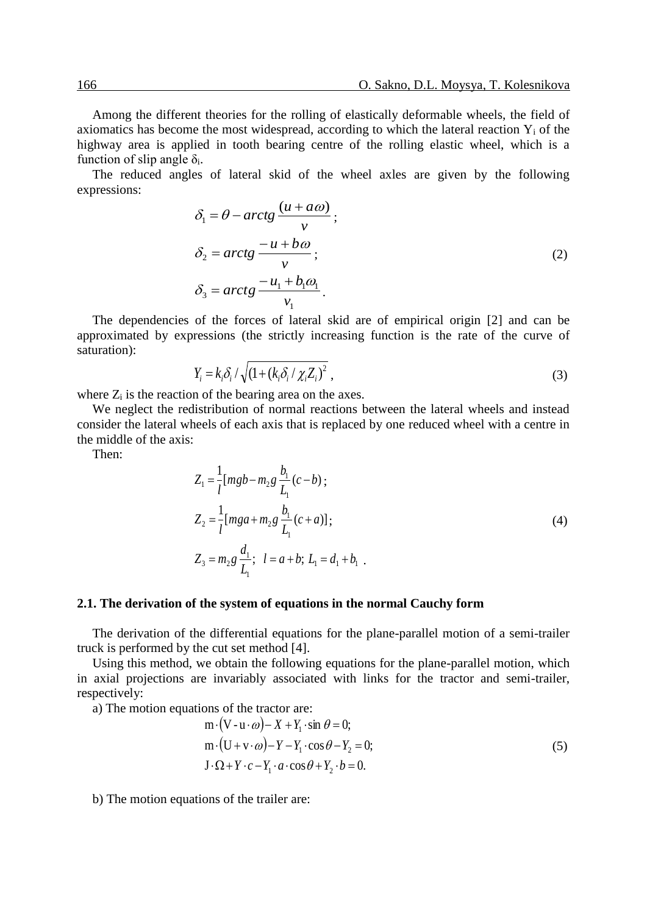Among the different theories for the rolling of elastically deformable wheels, the field of axiomatics has become the most widespread, according to which the lateral reaction  $Y_i$  of the highway area is applied in tooth bearing centre of the rolling elastic wheel, which is a function of slip angle  $\delta_i$ .

The reduced angles of lateral skid of the wheel axles are given by the following expressions:

$$
\delta_1 = \theta - \arctg \frac{(u + a\omega)}{v};
$$
\n
$$
\delta_2 = \arctg \frac{-u + b\omega}{v};
$$
\n
$$
\delta_3 = \arctg \frac{-u_1 + b_1\omega_1}{v_1}.
$$
\n(2)

The dependencies of the forces of lateral skid are of empirical origin [2] and can be approximated by expressions (the strictly increasing function is the rate of the curve of saturation):

$$
Y_{i} = k_{i} \delta_{i} / \sqrt{(1 + (k_{i} \delta_{i} / \chi_{i} Z_{i})^{2}}),
$$
\n(3)

where  $Z_i$  is the reaction of the bearing area on the axes.

We neglect the redistribution of normal reactions between the lateral wheels and instead consider the lateral wheels of each axis that is replaced by one reduced wheel with a centre in the middle of the axis:

Then:

$$
Z_{1} = \frac{1}{l} [mgb - m_{2}g \frac{b_{1}}{L_{1}}(c - b);
$$
  
\n
$$
Z_{2} = \frac{1}{l} [mga + m_{2}g \frac{b_{1}}{L_{1}}(c + a)];
$$
  
\n
$$
Z_{3} = m_{2}g \frac{d_{1}}{L_{1}}; \quad l = a + b; \quad L_{1} = d_{1} + b_{1}.
$$
  
\n(4)

#### **2.1. The derivation of the system of equations in the normal Cauchy form**

The derivation of the differential equations for the plane-parallel motion of a semi-trailer truck is performed by the cut set method [4].

Using this method, we obtain the following equations for the plane-parallel motion, which in axial projections are invariably associated with links for the tractor and semi-trailer, respectively:

a) The motion equations of the tractor are:

$$
m \cdot (V - u \cdot \omega) - X + Y_1 \cdot \sin \theta = 0;
$$
  
\n
$$
m \cdot (U + v \cdot \omega) - Y - Y_1 \cdot \cos \theta - Y_2 = 0;
$$
  
\n
$$
J \cdot \Omega + Y \cdot c - Y_1 \cdot a \cdot \cos \theta + Y_2 \cdot b = 0.
$$
\n(5)

b) The motion equations of the trailer are: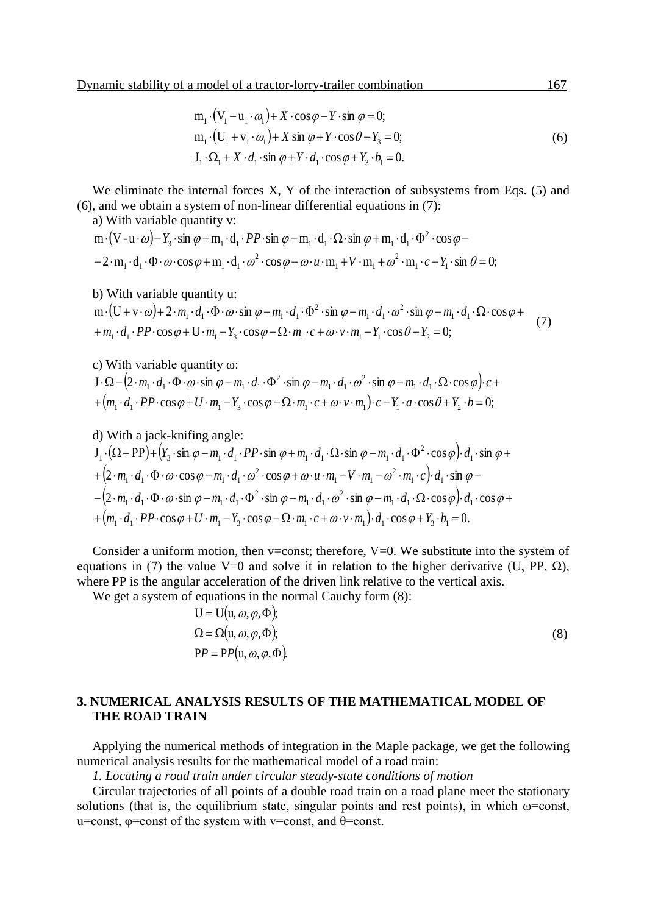$$
m_1 \cdot (V_1 - u_1 \cdot \omega_1) + X \cdot \cos \varphi - Y \cdot \sin \varphi = 0;
$$
  
\n
$$
m_1 \cdot (U_1 + v_1 \cdot \omega_1) + X \sin \varphi + Y \cdot \cos \theta - Y_3 = 0;
$$
  
\n
$$
J_1 \cdot \Omega_1 + X \cdot d_1 \cdot \sin \varphi + Y \cdot d_1 \cdot \cos \varphi + Y_3 \cdot b_1 = 0.
$$
\n(6)

We eliminate the internal forces X, Y of the interaction of subsystems from Eqs. (5) and (6), and we obtain a system of non-linear differential equations in (7):

a) With variable quantity v:

$$
m \cdot (V - u \cdot \omega) - Y_3 \cdot \sin \varphi + m_1 \cdot d_1 \cdot PP \cdot \sin \varphi - m_1 \cdot d_1 \cdot \Omega \cdot \sin \varphi + m_1 \cdot d_1 \cdot \Phi^2 \cdot \cos \varphi - 2 \cdot m_1 \cdot d_1 \cdot \Phi \cdot \omega \cdot \cos \varphi + m_1 \cdot d_1 \cdot \omega^2 \cdot \cos \varphi + \omega \cdot u \cdot m_1 + V \cdot m_1 + \omega^2 \cdot m_1 \cdot c + Y_1 \cdot \sin \theta = 0;
$$

b) With variable quantity u:

$$
m \cdot (U + v \cdot \omega) + 2 \cdot m_1 \cdot d_1 \cdot \Phi \cdot \omega \cdot \sin \varphi - m_1 \cdot d_1 \cdot \Phi^2 \cdot \sin \varphi - m_1 \cdot d_1 \cdot \omega^2 \cdot \sin \varphi - m_1 \cdot d_1 \cdot \Omega \cdot \cos \varphi +
$$
  
+ 
$$
m_1 \cdot d_1 \cdot PP \cdot \cos \varphi + U \cdot m_1 - Y_3 \cdot \cos \varphi - \Omega \cdot m_1 \cdot c + \omega \cdot v \cdot m_1 - Y_1 \cdot \cos \theta - Y_2 = 0;
$$
 (7)

c) With variable quantity ω:

 $J \cdot \Omega - [2 \cdot m_1 \cdot d_1 \cdot \Phi \cdot \omega \cdot \sin \varphi - m_1 \cdot d_1 \cdot \Phi^2 \cdot \sin \varphi - m_1 \cdot d_1 \cdot \omega^2 \cdot \sin \varphi - m_1 \cdot d_1 \cdot \Omega \cdot \cos \varphi]$ 2  $v_1$   $u_1$ 2  $\cdot \Omega - \left(2 \cdot m_1 \cdot d_1 \cdot \Phi \cdot \omega \cdot \sin \varphi - m_1 \cdot d_1 \cdot \Phi^2 \cdot \sin \varphi - m_1 \cdot d_1 \cdot \omega^2 \cdot \sin \varphi - m_1 \cdot d_1 \cdot \Omega \cdot \cos \varphi\right) c +$ 

+
$$
(m_1 \cdot d_1 \cdot PP \cdot \cos \varphi + U \cdot m_1 - Y_3 \cdot \cos \varphi - \Omega \cdot m_1 \cdot c + \omega \cdot v \cdot m_1) \cdot c - Y_1 \cdot a \cdot \cos \theta + Y_2 \cdot b = 0;
$$
  
\nd) With a jack-knifing angle:  
\n $J_1 \cdot (\Omega - PP) + (Y_3 \cdot \sin \varphi - m_1 \cdot d_1 \cdot PP \cdot \sin \varphi + m_1 \cdot d_1 \cdot \Omega \cdot \sin \varphi - m_1 \cdot d_1 \cdot \Phi^2 \cdot \cos \varphi) \cdot d_1 \cdot \sin \varphi +$   
\n+ $(2 \cdot m_1 \cdot d_1 \cdot \Phi \cdot \omega \cdot \cos \varphi - m_1 \cdot d_1 \cdot \omega^2 \cdot \cos \varphi + \omega \cdot u \cdot m_1 - V \cdot m_1 - \omega^2 \cdot m_1 \cdot c) \cdot d_1 \cdot \sin \varphi -$   
\n- $(2 \cdot m_1 \cdot d_1 \cdot \Phi \cdot \omega \cdot \sin \varphi - m_1 \cdot d_1 \cdot \Phi^2 \cdot \sin \varphi - m_1 \cdot d_1 \cdot \omega^2 \cdot \sin \varphi - m_1 \cdot d_1 \cdot \Omega \cdot \cos \varphi) \cdot d_1 \cdot \cos \varphi +$   
\n+ $(m_1 \cdot d_1 \cdot PP \cdot \cos \varphi + U \cdot m_1 - Y_3 \cdot \cos \varphi - \Omega \cdot m_1 \cdot c + \omega \cdot v \cdot m_1) \cdot d_1 \cdot \cos \varphi + Y_3 \cdot b_1 = 0.$ 

Consider a uniform motion, then  $v=const$ ; therefore,  $V=0$ . We substitute into the system of equations in (7) the value V=0 and solve it in relation to the higher derivative (U, PP,  $\Omega$ ), where PP is the angular acceleration of the driven link relative to the vertical axis.

We get a system of equations in the normal Cauchy form (8):

$$
U = U(u, \omega, \varphi, \Phi);
$$
  
\n
$$
\Omega = \Omega(u, \omega, \varphi, \Phi);
$$
  
\n
$$
PP = PP(u, \omega, \varphi, \Phi).
$$
\n(8)

### **3. NUMERICAL ANALYSIS RESULTS OF THE MATHEMATICAL MODEL OF THE ROAD TRAIN**

Applying the numerical methods of integration in the Maple package, we get the following numerical analysis results for the mathematical model of a road train:

*1. Locating a road train under circular steady-state conditions of motion*

Circular trajectories of all points of a double road train on a road plane meet the stationary solutions (that is, the equilibrium state, singular points and rest points), in which  $\omega$ =const, u=const,  $\varphi$ =const of the system with v=const, and  $\theta$ =const.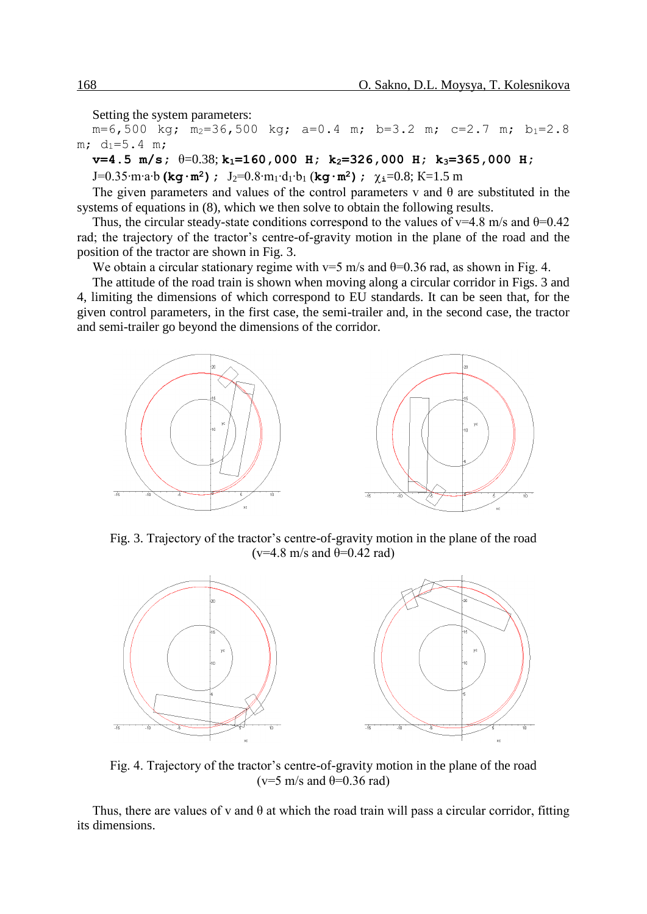Setting the system parameters:

 $m=6,500$  kg;  $m_2=36,500$  kg;  $a=0.4$  m;  $b=3.2$  m;  $c=2.7$  m;  $b_1=2.8$  $m; d_1=5.4 m;$ 

**v=4.5 m/s;** θ=0.38; **k1=160,000 H; k2=326,000 H; k3=365,000 H;** 

J=0.35∙m∙a∙b **(kg∙m<sup>2</sup>);** J2=0.8∙m1∙d1∙b<sup>1</sup> (**kg∙m<sup>2</sup>); i**=0.8; К=1.5 m

The given parameters and values of the control parameters v and  $\theta$  are substituted in the systems of equations in (8), which we then solve to obtain the following results.

Thus, the circular steady-state conditions correspond to the values of  $v=4.8$  m/s and  $\theta=0.42$ rad; the trajectory of the tractor's centre-of-gravity motion in the plane of the road and the position of the tractor are shown in Fig. 3.

We obtain a circular stationary regime with  $v=5$  m/s and  $\theta=0.36$  rad, as shown in Fig. 4.

The attitude of the road train is shown when moving along a circular corridor in Figs. 3 and 4, limiting the dimensions of which correspond to EU standards. It can be seen that, for the given control parameters, in the first case, the semi-trailer and, in the second case, the tractor and semi-trailer go beyond the dimensions of the corridor.



Fig. 3. Trajectory of the tractor's centre-of-gravity motion in the plane of the road ( $v=4.8$  m/s and  $\theta=0.42$  rad)



Fig. 4. Trajectory of the tractor's centre-of-gravity motion in the plane of the road ( $v=5$  m/s and  $\theta=0.36$  rad)

Thus, there are values of v and  $\theta$  at which the road train will pass a circular corridor, fitting its dimensions.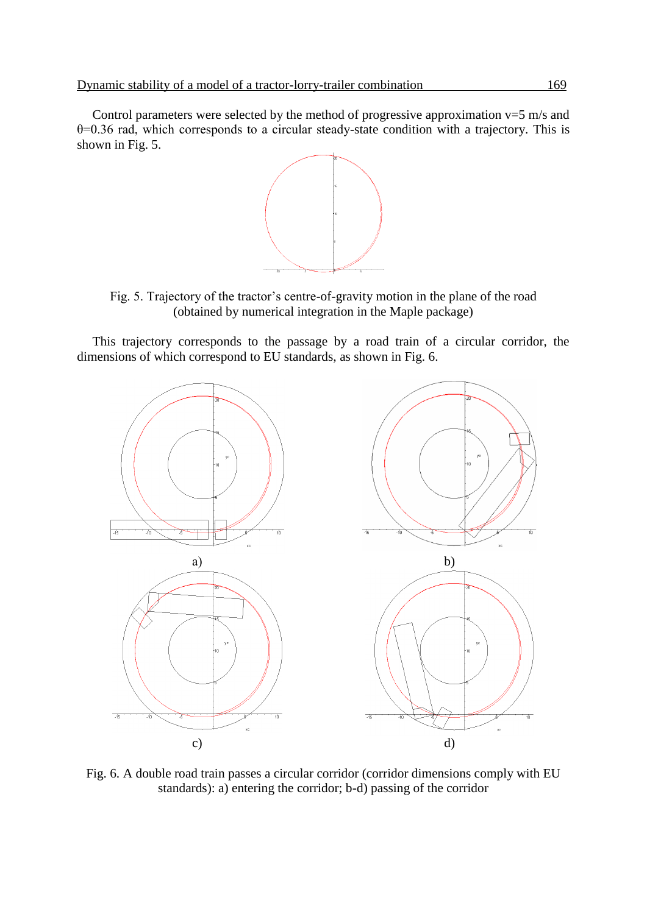Control parameters were selected by the method of progressive approximation  $v=5$  m/s and θ=0.36 rad, which corresponds to a circular steady-state condition with a trajectory. This is shown in Fig. 5.



Fig. 5. Trajectory of the tractor's centre-of-gravity motion in the plane of the road (obtained by numerical integration in the Maple package)

This trajectory corresponds to the passage by a road train of a circular corridor, the dimensions of which correspond to EU standards, as shown in Fig. 6.



Fig. 6. A double road train passes a circular corridor (corridor dimensions comply with EU standards): a) entering the corridor; b-d) passing of the corridor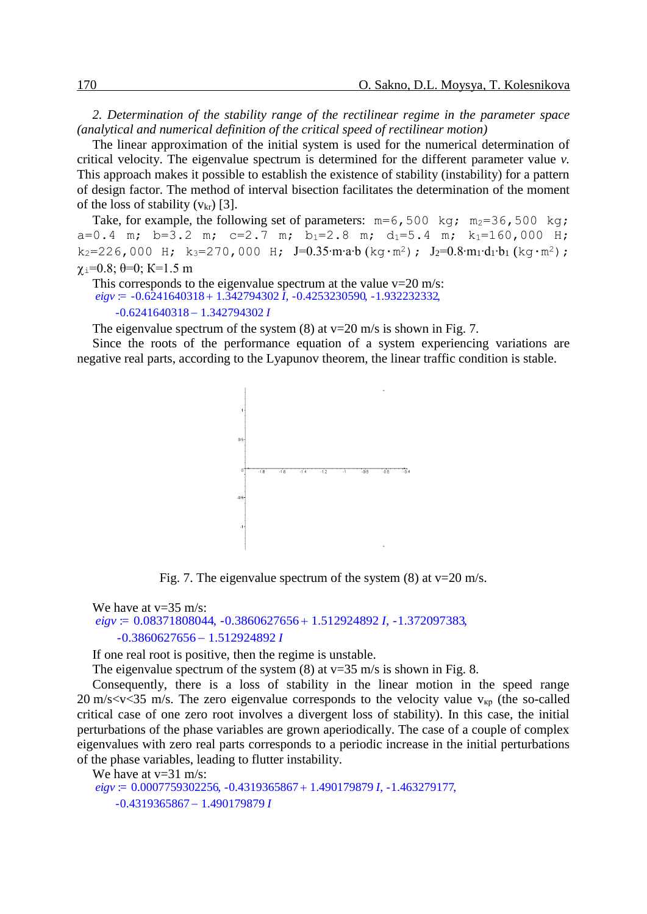*2. Determination of the stability range of the rectilinear regime in the parameter space (analytical and numerical definition of the critical speed of rectilinear motion)*

The linear approximation of the initial system is used for the numerical determination of critical velocity. The eigenvalue spectrum is determined for the different parameter value *v.*  This approach makes it possible to establish the existence of stability (instability) for a pattern of design factor. The method of interval bisection facilitates the determination of the moment of the loss of stability  $(v_{kr})$  [3].

Take, for example, the following set of parameters:  $m=6,500 \text{ kg}$ ;  $m_2=36,500 \text{ kg}$ ; a=0.4 m; b=3.2 m; c=2.7 m; b<sub>1</sub>=2.8 m; d<sub>1</sub>=5.4 m; k<sub>1</sub>=160,000 H; k<sub>2</sub>=226,000 H; k<sub>3</sub>=270,000 H; J=0.35⋅m⋅a⋅b (kq⋅m<sup>2</sup>); J<sub>2</sub>=0.8⋅m<sub>1</sub>⋅d<sub>1</sub>⋅b<sub>1</sub> (kq⋅m<sup>2</sup>);  $\chi_i=0.8$ ;  $\theta=0$ ; K=1.5 m

```
This corresponds to the eigenvalue spectrum at the value v=20 m/s:
eigv = -0.6241640318 + 1.342794302 \tilde{I}, -0.4253230590, -1.932232332,
    -0.6241640318 - 1.342794302 I
```
The eigenvalue spectrum of the system  $(8)$  at  $v=20$  m/s is shown in Fig. 7.

Since the roots of the performance equation of a system experiencing variations are negative real parts, according to the Lyapunov theorem, the linear traffic condition is stable.



Fig. 7. The eigenvalue spectrum of the system  $(8)$  at v=20 m/s.

```
We have at v=35 m/s:
eigv = 0.08371808044, -0.3860627656 + 1.512924892 I, -1.372097383,-0.3860627656 - 1.512924892 I
```
If one real root is positive, then the regime is unstable.

The eigenvalue spectrum of the system  $(8)$  at  $v=35$  m/s is shown in Fig. 8.

Consequently, there is a loss of stability in the linear motion in the speed range 20 m/s $\langle v \rangle$  s = 20 m/s  $\langle v \rangle$  m/s. The zero eigenvalue corresponds to the velocity value  $v_{\kappa p}$  (the so-called critical case of one zero root involves a divergent loss of stability). In this case, the initial perturbations of the phase variables are grown aperiodically. The case of a couple of complex eigenvalues with zero real parts corresponds to a periodic increase in the initial perturbations of the phase variables, leading to flutter instability.

We have at  $v=31$  m/s:  $eigv = 0.0007759302256, -0.4319365867 + 1.490179879 I, -1.463279177,$  $-0.4319365867 - 1.490179879 I$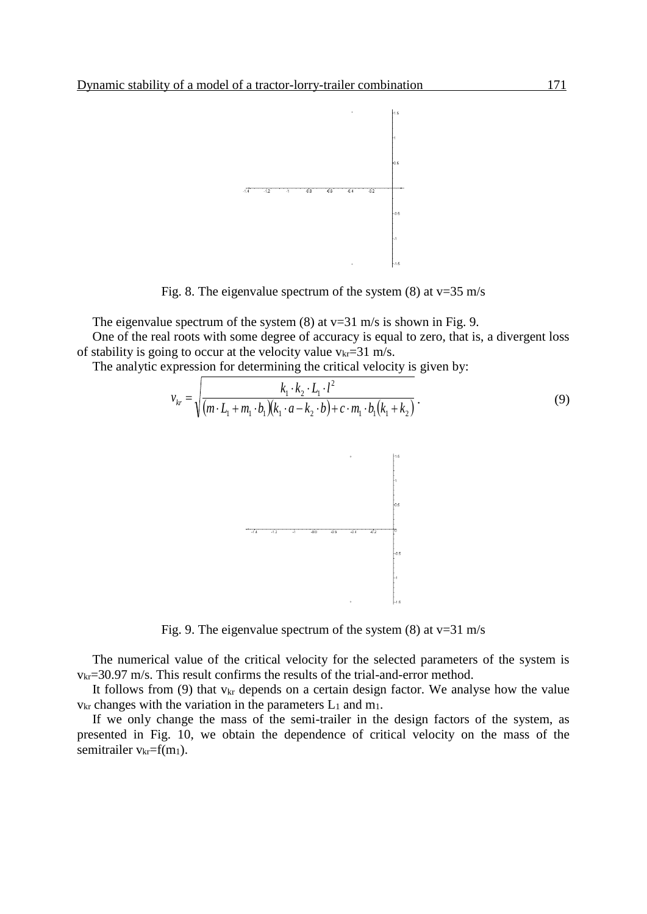

Fig. 8. The eigenvalue spectrum of the system  $(8)$  at v=35 m/s

The eigenvalue spectrum of the system  $(8)$  at v=31 m/s is shown in Fig. 9.

One of the real roots with some degree of accuracy is equal to zero, that is, a divergent loss of stability is going to occur at the velocity value  $v_{kr}=31$  m/s.

The analytic expression for determining the critical velocity is given by:

$$
v_{kr} = \sqrt{\frac{k_1 \cdot k_2 \cdot L_1 \cdot l^2}{(m \cdot L_1 + m_1 \cdot b_1)(k_1 \cdot a - k_2 \cdot b) + c \cdot m_1 \cdot b_1(k_1 + k_2)}}.
$$
(9)



Fig. 9. The eigenvalue spectrum of the system  $(8)$  at v=31 m/s

The numerical value of the critical velocity for the selected parameters of the system is  $v_{\text{kr}}$ =30.97 m/s. This result confirms the results of the trial-and-error method.

It follows from  $(9)$  that  $v_{kr}$  depends on a certain design factor. We analyse how the value  $v_{kr}$  changes with the variation in the parameters  $L_1$  and  $m_1$ .

If we only change the mass of the semi-trailer in the design factors of the system, as presented in Fig. 10, we obtain the dependence of critical velocity on the mass of the semitrailer  $v_{kr}=f(m_1)$ .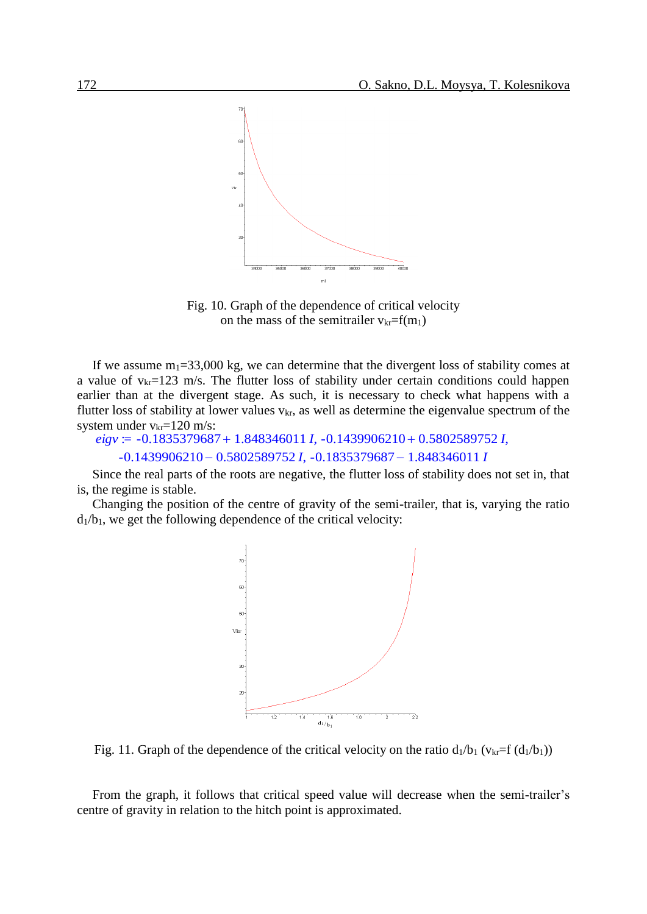

Fig. 10. Graph of the dependence of critical velocity on the mass of the semitrailer  $v_{kr}=f(m_1)$ 

If we assume  $m_1 = 33,000$  kg, we can determine that the divergent loss of stability comes at a value of  $v_{kr}=123$  m/s. The flutter loss of stability under certain conditions could happen earlier than at the divergent stage. As such, it is necessary to check what happens with a flutter loss of stability at lower values  $v_{kr}$ , as well as determine the eigenvalue spectrum of the system under  $v_{kr} = 120$  m/s:

```
eigv = -0.1835379687 + 1.848346011 I, -0.1439906210 + 0.5802589752 I,
   -0.1439906210 - 0.5802589752 I, -0.1835379687 - 1.848346011 I
```
Since the real parts of the roots are negative, the flutter loss of stability does not set in, that is, the regime is stable.

Changing the position of the centre of gravity of the semi-trailer, that is, varying the ratio  $d_1/b_1$ , we get the following dependence of the critical velocity:



Fig. 11. Graph of the dependence of the critical velocity on the ratio  $d_1/b_1$  ( $v_{kr}=f(d_1/b_1)$ )

From the graph, it follows that critical speed value will decrease when the semi-trailer's centre of gravity in relation to the hitch point is approximated.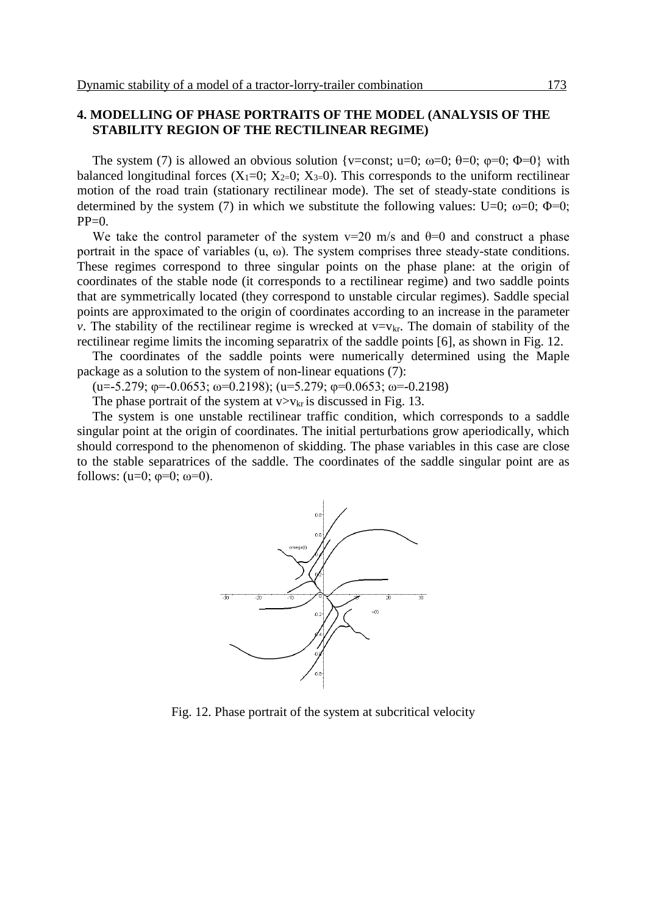## **4. MODELLING OF PHASE PORTRAITS OF THE MODEL (ANALYSIS OF THE STABILITY REGION OF THE RECTILINEAR REGIME)**

The system (7) is allowed an obvious solution {v=const; u=0;  $\omega$ =0;  $\theta$ =0;  $\phi$ =0;  $\Phi$ =0} with balanced longitudinal forces  $(X_1=0; X_2=0; X_3=0)$ . This corresponds to the uniform rectilinear motion of the road train (stationary rectilinear mode). The set of steady-state conditions is determined by the system (7) in which we substitute the following values: U=0;  $\omega$ =0;  $\Phi$ =0;  $PP=0$ .

We take the control parameter of the system  $v=20$  m/s and  $\theta=0$  and construct a phase portrait in the space of variables  $(u, \omega)$ . The system comprises three steady-state conditions. These regimes correspond to three singular points on the phase plane: at the origin of coordinates of the stable node (it corresponds to a rectilinear regime) and two saddle points that are symmetrically located (they correspond to unstable circular regimes). Saddle special points are approximated to the origin of coordinates according to an increase in the parameter *v*. The stability of the rectilinear regime is wrecked at  $v=v_{kr}$ . The domain of stability of the rectilinear regime limits the incoming separatrix of the saddle points [6], as shown in Fig. 12.

The coordinates of the saddle points were numerically determined using the Maple package as a solution to the system of non-linear equations (7):

(u=-5.279;  $\phi$ =-0.0653; ω=0.2198); (u=5.279;  $\phi$ =0.0653; ω=-0.2198)

The phase portrait of the system at  $v > v_{kr}$  is discussed in Fig. 13.

The system is one unstable rectilinear traffic condition, which corresponds to a saddle singular point at the origin of coordinates. The initial perturbations grow aperiodically, which should correspond to the phenomenon of skidding. The phase variables in this case are close to the stable separatrices of the saddle. The coordinates of the saddle singular point are as follows:  $(u=0; \varphi=0; \omega=0)$ .



Fig. 12. Phase portrait of the system at subcritical velocity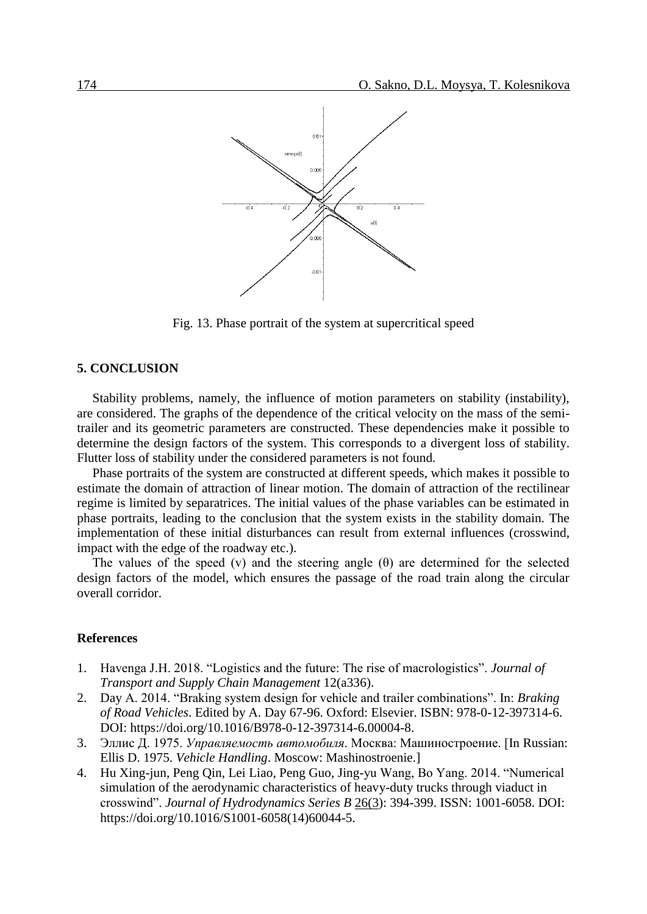

Fig. 13. Phase portrait of the system at supercritical speed

#### **5. CONCLUSION**

Stability problems, namely, the influence of motion parameters on stability (instability), are considered. The graphs of the dependence of the critical velocity on the mass of the semitrailer and its geometric parameters are constructed. These dependencies make it possible to determine the design factors of the system. This corresponds to a divergent loss of stability. Flutter loss of stability under the considered parameters is not found.

Phase portraits of the system are constructed at different speeds, which makes it possible to estimate the domain of attraction of linear motion. The domain of attraction of the rectilinear regime is limited by separatrices. The initial values of the phase variables can be estimated in phase portraits, leading to the conclusion that the system exists in the stability domain. The implementation of these initial disturbances can result from external influences (crosswind, impact with the edge of the roadway etc.).

The values of the speed (v) and the steering angle  $(\theta)$  are determined for the selected design factors of the model, which ensures the passage of the road train along the circular overall corridor.

## **References**

- 1. Havenga J.H. 2018. "Logistics and the future: The rise of macrologistics". *Journal of Transport and Supply Chain Management* 12(a336).
- 2. [Day](http://www.sciencedirect.com/science/article/pii/B9780123973146000048) A. 2014. "Braking system design for vehicle and trailer combinations". In: *[Braking](http://www.sciencedirect.com/science/book/9780123973146)  [of Road Vehicles](http://www.sciencedirect.com/science/book/9780123973146)*. Edited by A. Day 67-96. Oxford: Elsevier. ISBN: 978-0-12-397314-6. DOI: [https://doi.org/10.1016/B978-0-12-397314-6.00004-8.](https://doi.org/10.1016/B978-0-12-397314-6.00004-8)
- 3. Эллис Д. 1975. *Управляемость автомобиля*. Москва: Машиностроение. [In Russian: Ellis D. 1975. *Vehicle Handling*. Moscow: Mashinostroenie.]
- 4. Hu Xing-jun, Peng Qin, Lei Liao, Peng Guo, Jing-yu Wang, Bo Yang. 2014. "Numerical simulation of the aerodynamic characteristics of heavy-duty trucks through viaduct in crosswind". *[Journal of Hydrodynamics Series B](https://www.sciencedirect.com/science/journal/10016058)* [26\(3\)](file:///C:/Users/LOP/Desktop/Konferencia-2018/Clanky/Upravene/26%20(3): 394-399. ISSN: 1001-6058. DOI: [https://doi.org/10.1016/S1001-6058\(14\)60044-5.](https://doi.org/10.1016/S1001-6058(14)60044-5)